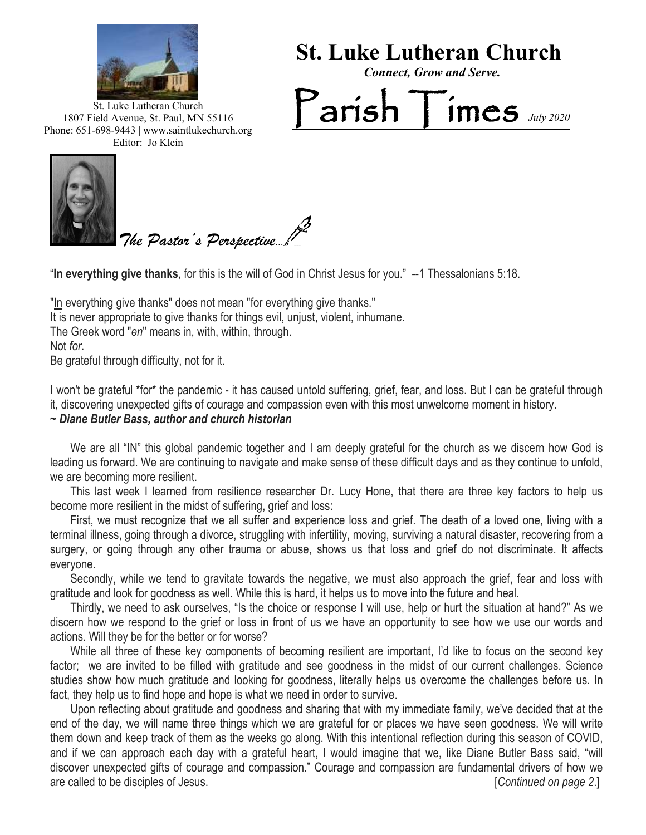

 **St. Luke Lutheran Church** 

*Connect, Grow and Serve.*

Parish Times *July <sup>2020</sup>*

St. Luke Lutheran Church 1807 Field Avenue, St. Paul, MN 55116 Phone: 651-698-9443 | www.saintlukechurch.org Editor: Jo Klein



*The Pastor's Perspective*...

"**In everything give thanks**, for this is the will of God in Christ Jesus for you." --1 Thessalonians 5:18.

"In everything give thanks" does not mean "for everything give thanks." It is never appropriate to give thanks for things evil, unjust, violent, inhumane. The Greek word "*en*" means in, with, within, through. Not *for*. Be grateful through difficulty, not for it.

I won't be grateful \*for\* the pandemic - it has caused untold suffering, grief, fear, and loss. But I can be grateful through it, discovering unexpected gifts of courage and compassion even with this most unwelcome moment in history.

## *~ Diane Butler Bass, author and church historian*

 We are all "IN" this global pandemic together and I am deeply grateful for the church as we discern how God is leading us forward. We are continuing to navigate and make sense of these difficult days and as they continue to unfold, we are becoming more resilient.

 This last week I learned from resilience researcher Dr. Lucy Hone, that there are three key factors to help us become more resilient in the midst of suffering, grief and loss:

become more resilient in the midst of suffering, grief and loss:<br>First, we must recognize that we all suffer and experience loss and grief. The death of a loved one, living with a terminal illness, going through a divorce, struggling with infertility, moving, surviving a natural disaster, recovering from a surgery, or going through any other trauma or abuse, shows us that loss and grief do not discriminate. It affects everyone.

 Secondly, while we tend to gravitate towards the negative, we must also approach the grief, fear and loss with gratitude and look for goodness as well. While this is hard, it helps us to move into the future and heal.

 Thirdly, we need to ask ourselves, "Is the choice or response I will use, help or hurt the situation at hand?" As we discern how we respond to the grief or loss in front of us we have an opportunity to see how we use our words and actions. Will they be for the better or for worse?

 While all three of these key components of becoming resilient are important, I'd like to focus on the second key factor; we are invited to be filled with gratitude and see goodness in the midst of our current challenges. Science studies show how much gratitude and looking for goodness, literally helps us overcome the challenges before us. In fact, they help us to find hope and hope is what we need in order to survive.

 Upon reflecting about gratitude and goodness and sharing that with my immediate family, we've decided that at the end of the day, we will name three things which we are grateful for or places we have seen goodness. We will write them down and keep track of them as the weeks go along. With this intentional reflection during this season of COVID, and if we can approach each day with a grateful heart, I would imagine that we, like Diane Butler Bass said, "will discover unexpected gifts of courage and compassion." Courage and compassion are fundamental drivers of how we are called to be disciples of Jesus. [*Continued on page 2*.]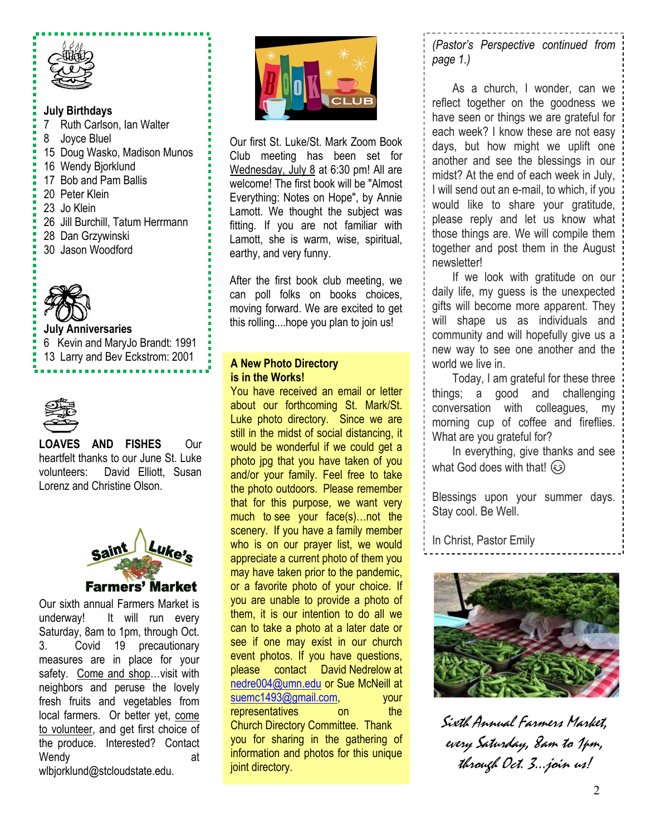

## **July Birthdays**

- 7 Ruth Carlson, Ian Walter
- 8 Joyce Bluel
- 15 Doug Wasko, Madison Munos
- 16 Wendy Bjorklund
- 17 Bob and Pam Ballis
- 20 Peter Klein
- 23 Jo Klein
- 26 Jill Burchill, Tatum Herrmann
- 28 Dan Grzywinski
- 30 Jason Woodford



## **July Anniversaries**

6 Kevin and MaryJo Brandt: 1991 13 Larry and Bev Eckstrom: 2001



## **LOAVES AND FISHES** Our heartfelt thanks to our June St. Luke volunteers: David Elliott, Susan Lorenz and Christine Olson.



safety. Come and shop...visit with Our sixth annual Farmers Market is underway! It will run every Saturday, 8am to 1pm, through Oct. 3. Covid 19 precautionary measures are in place for your neighbors and peruse the lovely fresh fruits and vegetables from local farmers. Or better yet, come to volunteer, and get first choice of the produce. Interested? Contact Wendy at a metal of the state of the state at a state of the state at a state of the state at a state of the state at a state of the state at a state of the state at a state of the state at a state of the state at a state wlbjorklund@stcloudstate.edu.



Our first St. Luke/St. Mark Zoom Book Club meeting has been set for Wednesday, July 8 at 6:30 pm! All are welcome! The first book will be "Almost Everything: Notes on Hope", by Annie Lamott. We thought the subject was fitting. If you are not familiar with Lamott, she is warm, wise, spiritual, earthy, and very funny.

After the first book club meeting, we can poll folks on books choices, moving forward. We are excited to get this rolling....hope you plan to join us!

# **A New Photo Directory is in the Works!**

You have received an email or letter about our forthcoming St. Mark/St. Luke photo directory. Since we are still in the midst of social distancing, it would be wonderful if we could get a photo jpg that you have taken of you and/or your family. Feel free to take the photo outdoors. Please remember that for this purpose, we want very much to see your face(s)…not the scenery. If you have a family member who is on our prayer list, we would appreciate a current photo of them you may have taken prior to the pandemic, or a favorite photo of your choice. If you are unable to provide a photo of them, it is our intention to do all we can to take a photo at a later date or see if one may exist in our church event photos. If you have questions, please contact David Nedrelow at [nedre004@umn.edu](mailto:nedre004@umn.edu) or Sue McNeill at [suemc1493@gmail.com,](mailto:suemc1493@gmail.com) vour representatives on the Church Directory Committee. Thank you for sharing in the gathering of information and photos for this unique joint directory.

*(Pastor's Perspective continued from page 1.)*

 As a church, I wonder, can we reflect together on the goodness we have seen or things we are grateful for each week? I know these are not easy days, but how might we uplift one another and see the blessings in our midst? At the end of each week in July, I will send out an e-mail, to which, if you would like to share your gratitude, please reply and let us know what those things are. We will compile them together and post them in the August newsletter!

 If we look with gratitude on our daily life, my guess is the unexpected gifts will become more apparent. They will shape us as individuals and community and will hopefully give us a new way to see one another and the world we live in.

 Today, I am grateful for these three things; a good and challenging conversation with colleagues, my morning cup of coffee and fireflies. What are you grateful for?

 In everything, give thanks and see what God does with that!  $\circled{c}$ 

Blessings upon your summer days. Stay cool. Be Well.

In Christ, Pastor Emily



Sixth Annual Farmers Market, every Saturday, 8am to 1pm, through Oct. 3…join us!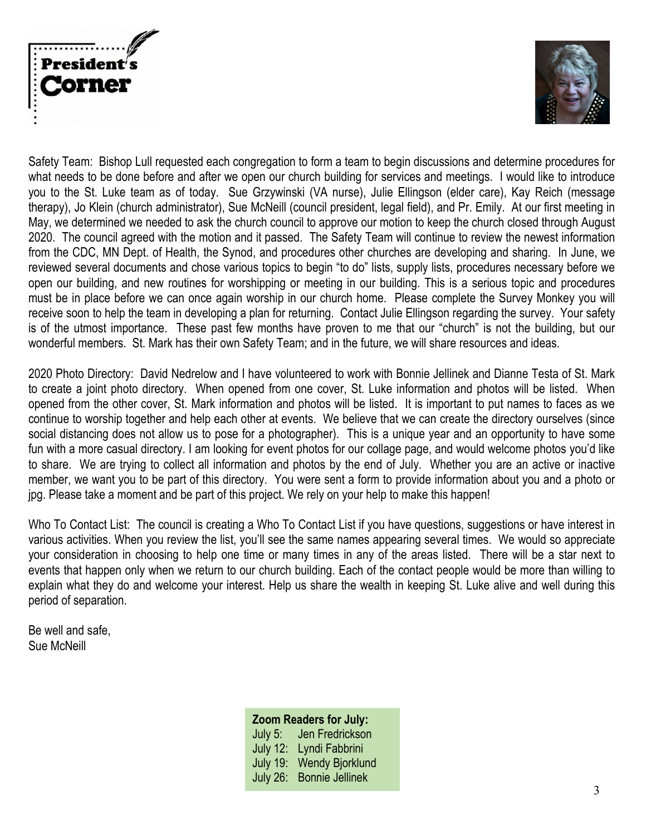



Safety Team: Bishop Lull requested each congregation to form a team to begin discussions and determine procedures for what needs to be done before and after we open our church building for services and meetings. I would like to introduce you to the St. Luke team as of today. Sue Grzywinski (VA nurse), Julie Ellingson (elder care), Kay Reich (message therapy), Jo Klein (church administrator), Sue McNeill (council president, legal field), and Pr. Emily. At our first meeting in May, we determined we needed to ask the church council to approve our motion to keep the church closed through August 2020. The council agreed with the motion and it passed. The Safety Team will continue to review the newest information from the CDC, MN Dept. of Health, the Synod, and procedures other churches are developing and sharing. In June, we reviewed several documents and chose various topics to begin "to do" lists, supply lists, procedures necessary before we open our building, and new routines for worshipping or meeting in our building. This is a serious topic and procedures must be in place before we can once again worship in our church home. Please complete the Survey Monkey you will receive soon to help the team in developing a plan for returning. Contact Julie Ellingson regarding the survey. Your safety is of the utmost importance. These past few months have proven to me that our "church" is not the building, but our wonderful members. St. Mark has their own Safety Team; and in the future, we will share resources and ideas.

2020 Photo Directory: David Nedrelow and I have volunteered to work with Bonnie Jellinek and Dianne Testa of St. Mark to create a joint photo directory. When opened from one cover, St. Luke information and photos will be listed. When opened from the other cover, St. Mark information and photos will be listed. It is important to put names to faces as we continue to worship together and help each other at events. We believe that we can create the directory ourselves (since social distancing does not allow us to pose for a photographer). This is a unique year and an opportunity to have some fun with a more casual directory. I am looking for event photos for our collage page, and would welcome photos you'd like to share. We are trying to collect all information and photos by the end of July. Whether you are an active or inactive member, we want you to be part of this directory. You were sent a form to provide information about you and a photo or jpg. Please take a moment and be part of this project. We rely on your help to make this happen!

Who To Contact List: The council is creating a Who To Contact List if you have questions, suggestions or have interest in various activities. When you review the list, you'll see the same names appearing several times. We would so appreciate your consideration in choosing to help one time or many times in any of the areas listed. There will be a star next to events that happen only when we return to our church building. Each of the contact people would be more than willing to explain what they do and welcome your interest. Help us share the wealth in keeping St. Luke alive and well during this period of separation.

Be well and safe, Sue McNeill

## **Zoom Readers for July:**

July 5: Jen Fredrickson July 12: Lyndi Fabbrini July 19: Wendy Bjorklund July 26: Bonnie Jellinek